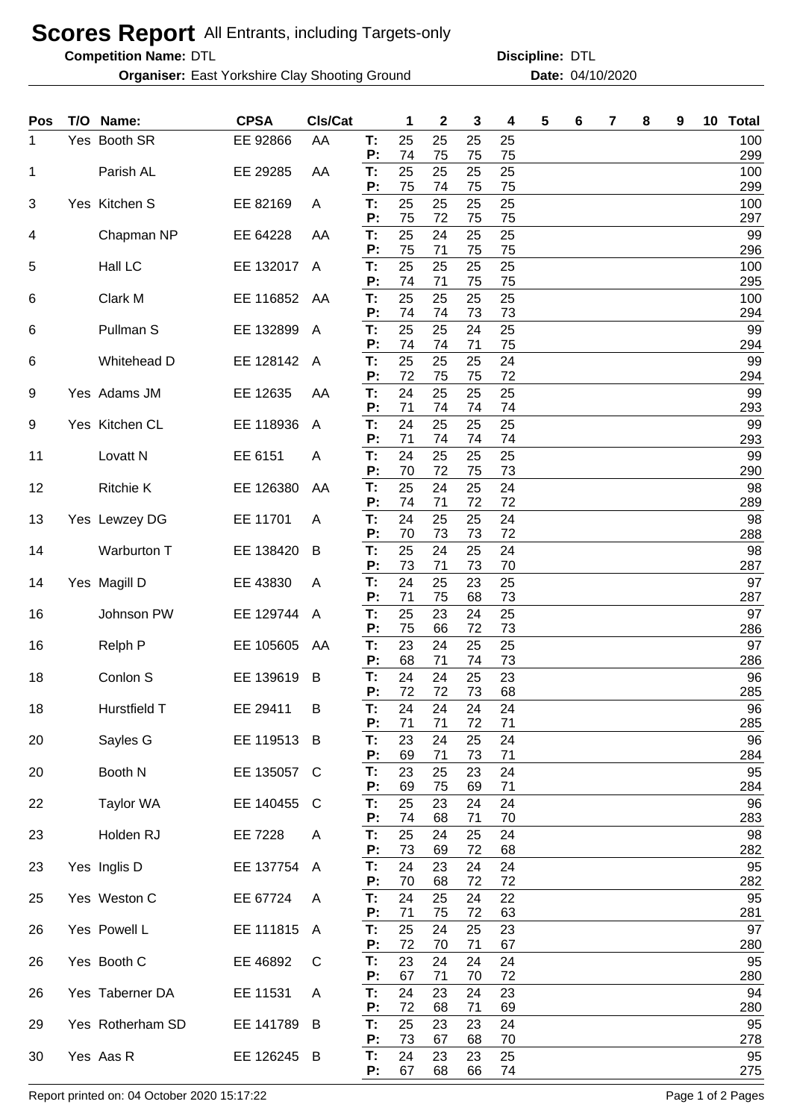## **Scores Report** All Entrants, including Targets-only

**Competition Name:**

**Organiser:** East Yorkshire Clay Shooting Ground **Date:** 04/10/2020

DTL DTL **Discipline:**

| <b>Pos</b> | T/O | Name:               | <b>CPSA</b> | CIs/Cat        |          | 1        | $\mathbf 2$ | 3        | 4        | 5 | 6 | 7 | 8 | 9 | 10 <sub>1</sub> | <b>Total</b> |
|------------|-----|---------------------|-------------|----------------|----------|----------|-------------|----------|----------|---|---|---|---|---|-----------------|--------------|
| 1.         |     | Yes Booth SR        | EE 92866    | AA             | Т:<br>P: | 25<br>74 | 25<br>75    | 25<br>75 | 25<br>75 |   |   |   |   |   |                 | 100<br>299   |
| 1          |     | Parish AL           | EE 29285    | AA             | T:       | 25       | 25          | 25       | 25       |   |   |   |   |   |                 | 100          |
| 3          |     | Yes Kitchen S       | EE 82169    | A              | P:<br>T: | 75<br>25 | 74<br>25    | 75<br>25 | 75<br>25 |   |   |   |   |   |                 | 299<br>100   |
|            |     |                     |             |                | P:<br>T: | 75<br>25 | 72<br>24    | 75<br>25 | 75<br>25 |   |   |   |   |   |                 | 297<br>99    |
| 4          |     | Chapman NP          | EE 64228    | AA             | P:       | 75       | 71          | 75       | 75       |   |   |   |   |   |                 | 296          |
| 5          |     | Hall LC             | EE 132017   | $\overline{A}$ | T:<br>P: | 25<br>74 | 25<br>71    | 25<br>75 | 25<br>75 |   |   |   |   |   |                 | 100<br>295   |
| 6          |     | Clark M             | EE 116852   | AA             | T:       | 25<br>74 | 25          | 25       | 25       |   |   |   |   |   |                 | 100          |
| 6          |     | Pullman S           | EE 132899   | A              | P:<br>T: | 25       | 74<br>25    | 73<br>24 | 73<br>25 |   |   |   |   |   |                 | 294<br>99    |
| 6          |     | Whitehead D         | EE 128142   | A              | P:<br>T: | 74<br>25 | 74<br>25    | 71<br>25 | 75<br>24 |   |   |   |   |   |                 | 294<br>99    |
|            |     |                     |             |                | P:       | 72       | 75          | 75       | 72       |   |   |   |   |   |                 | 294          |
| 9          |     | Yes Adams JM        | EE 12635    | AA             | T:<br>P: | 24<br>71 | 25<br>74    | 25<br>74 | 25<br>74 |   |   |   |   |   |                 | 99<br>293    |
| 9          |     | Yes Kitchen CL      | EE 118936   | A              | T:<br>P: | 24<br>71 | 25<br>74    | 25<br>74 | 25<br>74 |   |   |   |   |   |                 | 99<br>293    |
| 11         |     | Lovatt <sub>N</sub> | EE 6151     | A              | T:       | 24       | 25          | 25       | 25       |   |   |   |   |   |                 | 99           |
| 12         |     | <b>Ritchie K</b>    | EE 126380   | AA             | P:<br>T: | 70<br>25 | 72<br>24    | 75<br>25 | 73<br>24 |   |   |   |   |   |                 | 290<br>98    |
|            |     |                     |             |                | P:       | 74       | 71          | 72       | 72       |   |   |   |   |   |                 | 289          |
| 13         |     | Yes Lewzey DG       | EE 11701    | A              | T:<br>P: | 24<br>70 | 25<br>73    | 25<br>73 | 24<br>72 |   |   |   |   |   |                 | 98<br>288    |
| 14         |     | Warburton T         | EE 138420   | B              | T:<br>P: | 25<br>73 | 24<br>71    | 25<br>73 | 24<br>70 |   |   |   |   |   |                 | 98<br>287    |
| 14         |     | Yes Magill D        | EE 43830    | A              | T:       | 24       | 25          | 23       | 25       |   |   |   |   |   |                 | 97           |
| 16         |     | Johnson PW          | EE 129744   | A              | P:<br>T: | 71<br>25 | 75<br>23    | 68<br>24 | 73<br>25 |   |   |   |   |   |                 | 287<br>97    |
|            |     |                     |             |                | P:       | 75       | 66          | 72       | 73       |   |   |   |   |   |                 | 286          |
| 16         |     | Relph P             | EE 105605   | AA             | T:<br>P: | 23<br>68 | 24<br>71    | 25<br>74 | 25<br>73 |   |   |   |   |   |                 | 97<br>286    |
| 18         |     | Conlon S            | EE 139619   | B              | Т:<br>P: | 24<br>72 | 24<br>72    | 25<br>73 | 23<br>68 |   |   |   |   |   |                 | 96<br>285    |
| 18         |     | Hurstfield T        | EE 29411    | B              | Т:       | 24       | 24          | 24       | 24       |   |   |   |   |   |                 | 96           |
| 20         |     | Sayles G            | EE 119513   | B              | P:<br>T: | 71<br>23 | 71<br>24    | 72<br>25 | 71<br>24 |   |   |   |   |   |                 | 285<br>96    |
| 20         |     | Booth N             | EE 135057   | C              | P:<br>T: | 69<br>23 | 71<br>25    | 73<br>23 | 71<br>24 |   |   |   |   |   |                 | 284<br>95    |
|            |     |                     |             |                | P:       | 69       | 75          | 69       | 71       |   |   |   |   |   |                 | 284          |
| 22         |     | Taylor WA           | EE 140455   | C              | Т.<br>P: | 25<br>74 | 23<br>68    | 24<br>71 | 24<br>70 |   |   |   |   |   |                 | 96<br>283    |
| 23         |     | Holden RJ           | EE 7228     | Α              | T:<br>P: | 25<br>73 | 24<br>69    | 25<br>72 | 24<br>68 |   |   |   |   |   |                 | 98<br>282    |
| 23         |     | Yes Inglis D        | EE 137754   | A              | T:       | 24       | 23          | 24       | 24       |   |   |   |   |   |                 | 95           |
| 25         |     | Yes Weston C        | EE 67724    | A              | P:<br>T: | 70<br>24 | 68<br>25    | 72<br>24 | 72<br>22 |   |   |   |   |   |                 | 282<br>95    |
|            |     |                     |             |                | P:       | 71       | 75          | 72       | 63       |   |   |   |   |   |                 | 281          |
| 26         |     | Yes Powell L        | EE 111815   | A              | T:<br>P: | 25<br>72 | 24<br>70    | 25<br>71 | 23<br>67 |   |   |   |   |   |                 | 97<br>280    |
| 26         |     | Yes Booth C         | EE 46892    | C              | T:<br>P: | 23<br>67 | 24<br>71    | 24<br>70 | 24<br>72 |   |   |   |   |   |                 | 95<br>280    |
| 26         |     | Yes Taberner DA     | EE 11531    | A              | T:       | 24       | 23          | 24       | 23       |   |   |   |   |   |                 | 94           |
| 29         |     | Yes Rotherham SD    | EE 141789   | B              | P:<br>T: | 72<br>25 | 68<br>23    | 71<br>23 | 69<br>24 |   |   |   |   |   |                 | 280<br>95    |
|            |     |                     |             |                | P:       | 73       | 67          | 68       | 70       |   |   |   |   |   |                 | 278          |
| 30         |     | Yes Aas R           | EE 126245 B |                | T:<br>P: | 24<br>67 | 23<br>68    | 23<br>66 | 25<br>74 |   |   |   |   |   |                 | 95<br>275    |

Report printed on: 04 October 2020 15:17:22 Page 1 of 2 Pages